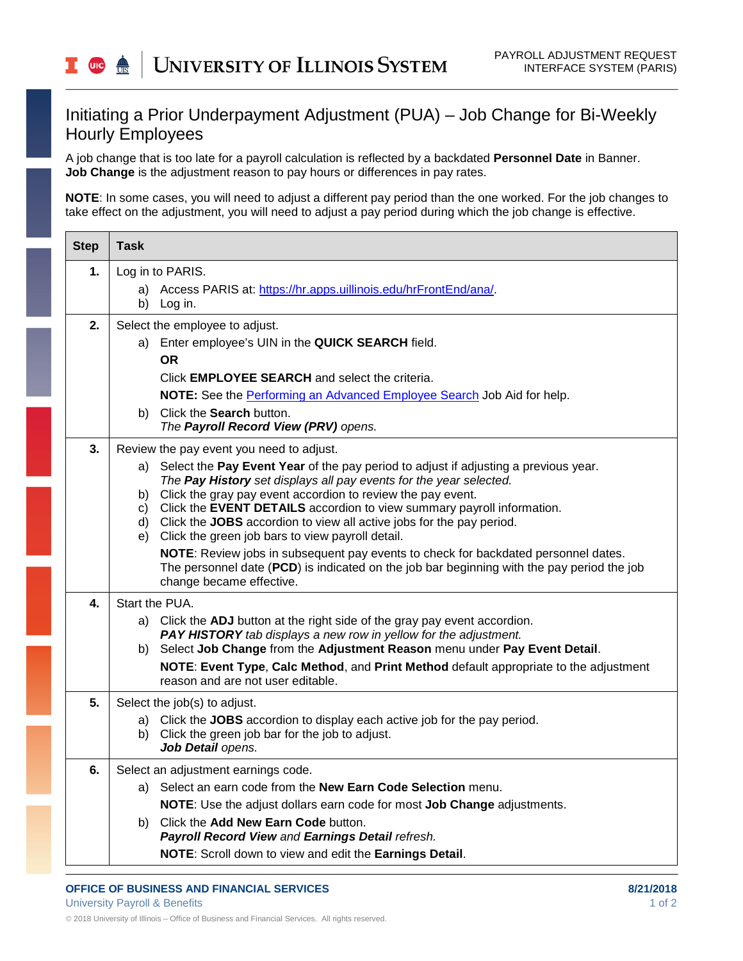## Initiating a Prior Underpayment Adjustment (PUA) – Job Change for Bi-Weekly Hourly Employees

A job change that is too late for a payroll calculation is reflected by a backdated **Personnel Date** in Banner. **Job Change** is the adjustment reason to pay hours or differences in pay rates.

**NOTE**: In some cases, you will need to adjust a different pay period than the one worked. For the job changes to take effect on the adjustment, you will need to adjust a pay period during which the job change is effective.

| <b>Task</b>                                                                                                                                                                                                                                                                                                                                                                                                                                                                                                                                                                                                                                                                                               |
|-----------------------------------------------------------------------------------------------------------------------------------------------------------------------------------------------------------------------------------------------------------------------------------------------------------------------------------------------------------------------------------------------------------------------------------------------------------------------------------------------------------------------------------------------------------------------------------------------------------------------------------------------------------------------------------------------------------|
| Log in to PARIS.                                                                                                                                                                                                                                                                                                                                                                                                                                                                                                                                                                                                                                                                                          |
| Access PARIS at: https://hr.apps.uillinois.edu/hrFrontEnd/ana/.<br>a)<br>b) Log in.                                                                                                                                                                                                                                                                                                                                                                                                                                                                                                                                                                                                                       |
| Select the employee to adjust.<br>Enter employee's UIN in the QUICK SEARCH field.<br>a)<br><b>OR</b><br>Click <b>EMPLOYEE SEARCH</b> and select the criteria.<br>NOTE: See the Performing an Advanced Employee Search Job Aid for help.<br>b) Click the Search button.<br>The Payroll Record View (PRV) opens.                                                                                                                                                                                                                                                                                                                                                                                            |
| Review the pay event you need to adjust.<br>a) Select the Pay Event Year of the pay period to adjust if adjusting a previous year.<br>The Pay History set displays all pay events for the year selected.<br>b) Click the gray pay event accordion to review the pay event.<br>c) Click the EVENT DETAILS accordion to view summary payroll information.<br>d) Click the JOBS accordion to view all active jobs for the pay period.<br>e) Click the green job bars to view payroll detail.<br>NOTE: Review jobs in subsequent pay events to check for backdated personnel dates.<br>The personnel date (PCD) is indicated on the job bar beginning with the pay period the job<br>change became effective. |
| Start the PUA.<br>a) Click the ADJ button at the right side of the gray pay event accordion.<br>PAY HISTORY tab displays a new row in yellow for the adjustment.<br>Select Job Change from the Adjustment Reason menu under Pay Event Detail.<br>b)<br>NOTE: Event Type, Calc Method, and Print Method default appropriate to the adjustment<br>reason and are not user editable.                                                                                                                                                                                                                                                                                                                         |
| Select the job(s) to adjust.<br>a) Click the JOBS accordion to display each active job for the pay period.<br>b) Click the green job bar for the job to adjust.<br>Job Detail opens.                                                                                                                                                                                                                                                                                                                                                                                                                                                                                                                      |
| Select an adjustment earnings code.<br>Select an earn code from the New Earn Code Selection menu.<br>a)<br>NOTE: Use the adjust dollars earn code for most Job Change adjustments.<br>Click the Add New Earn Code button.<br>b).<br>Payroll Record View and Earnings Detail refresh.<br>NOTE: Scroll down to view and edit the Earnings Detail.                                                                                                                                                                                                                                                                                                                                                           |
|                                                                                                                                                                                                                                                                                                                                                                                                                                                                                                                                                                                                                                                                                                           |